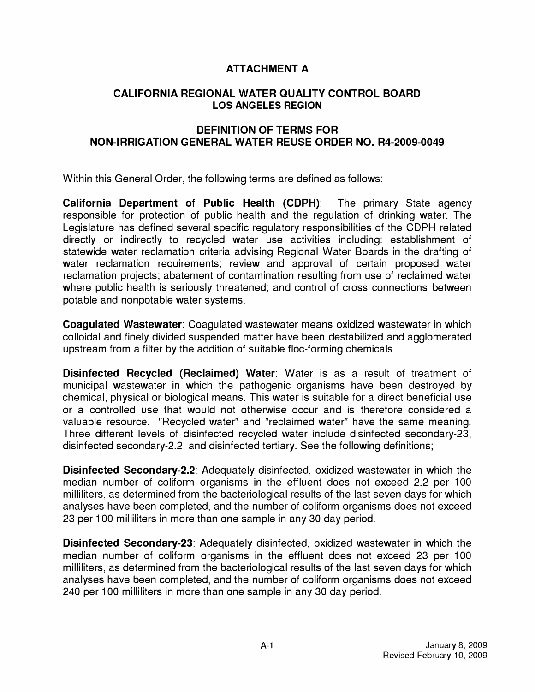## **ATTACHMENT A**

## **CALIFORNIA REGIONAL WATER QUALITY CONTROL BOARD LOS ANGELES REGION**

## **DEFINITION OF TERMS FOR NON-IRRIGATION GENERAL WATER REUSE ORDER NO. R4-2009-0049**

Within this General Order, the following terms are defined as follows:

**California Department of Public Health (CDPH):** The primary State agency responsible for protection of public health and the regulation of drinking water. The Legislature has defined several specific regulatory responsibilities of the CDPH related directly or indirectly to recycled water use activities including: establishment of statewide water reclamation criteria advising Regional Water Boards in the drafting of water reclamation requirements; review and approval of certain proposed water reclamation projects; abatement of contamination resulting from use of reclaimed water where public health is seriously threatened; and control of cross connections between potable and nonpotable water systems.

**Coagulated Wastewater:** Coagulated wastewater means oxidized wastewater in which colloidal and finely divided suspended matter have been destabilized and agglomerated upstream from a filter by the addition of suitable floe-forming chemicals.

**Disinfected Recycled (Reclaimed) Water:** Water is as a result of treatment of municipal wastewater in which the pathogenic organisms have been destroyed by chemical, physical or biological means. This water is suitable for a direct beneficial use or a controlled use that would not otherwise occur and is therefore considered a valuable resource. "Recycled water" and "reclaimed water" have the same meaning. Three different levels of disinfected recycled water include disinfected secondary-23, disinfected secondary-2.2, and disinfected tertiary. See the following definitions;

**Disinfected Secondary-2.2:** Adequately disinfected, oxidized wastewater in which the median number of coliform organisms in the effluent does not exceed 2.2 per 100 milliliters, as determined from the bacteriological results of the last seven days for which analyses have been completed, and the number of coliform organisms does not exceed 23 per 100 milliliters in more than one sample in any 30 day period.

**Disinfected Secondary-23:** Adequately disinfected, oxidized wastewater in which the median number of coliform organisms in the effluent does not exceed 23 per 100 milliliters, as determined from the bacteriological results of the last seven days for which analyses have been completed, and the number of coliform organisms does not exceed 240 per 100 milliliters in more than one sample in any 30 day period.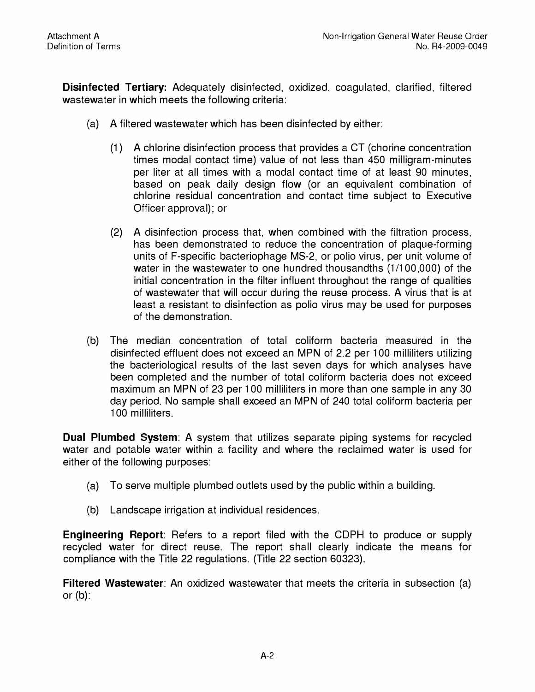**Disinfected Tertiary:** Adequately disinfected, oxidized, coagulated, clarified, filtered wastewater in which meets the following criteria:

- (a) A filtered wastewater which has been disinfected by either:
	- (1) A chlorine disinfection process that provides a CT (chorine concentration times modal contact time) value of not less than 450 milligram-minutes per liter at all times with a modal contact time of at least 90 minutes, based on peak daily design flow (or an equivalent combination of chlorine residual concentration and contact time subject to Executive Officer approval); or
	- (2) A disinfection process that, when combined with the filtration process, has been demonstrated to reduce the concentration of plaque-forming units of F-specific bacteriophage MS-2, or polio virus, per unit volume of water in the wastewater to one hundred thousandths (1/100,000) of the initial concentration in the filter influent throughout the range of qualities of wastewater that will occur during the reuse process. A virus that is at least a resistant to disinfection as polio virus may be used for purposes of the demonstration.
- (b) The median concentration of total coliform bacteria measured in the disinfected effluent does not exceed an MPN of 2.2 per 100 milliliters utilizing the bacteriological results of the last seven days for which analyses have been completed and the number of total coliform bacteria does not exceed maximum an MPN of 23 per 100 milliliters in more than one sample in any 30 day period. No sample shall exceed an MPN of 240 total coliform bacteria per 100 milliliters.

**Dual Plumbed System:** A system that utilizes separate piping systems for recycled water and potable water within a facility and where the reclaimed water is used for either of the following purposes:

- (a) To serve multiple plumbed outlets used by the public within a building.
- (b) Landscape irrigation at individual residences.

**Engineering Report:** Refers to a report filed with the CDPH to produce or supply recycled water for direct reuse. The report shall clearly indicate the means for compliance with the Title 22 regulations. (Title 22 section 60323).

**Filtered Wastewater:** An oxidized wastewater that meets the criteria in subsection (a) or  $(b)$ :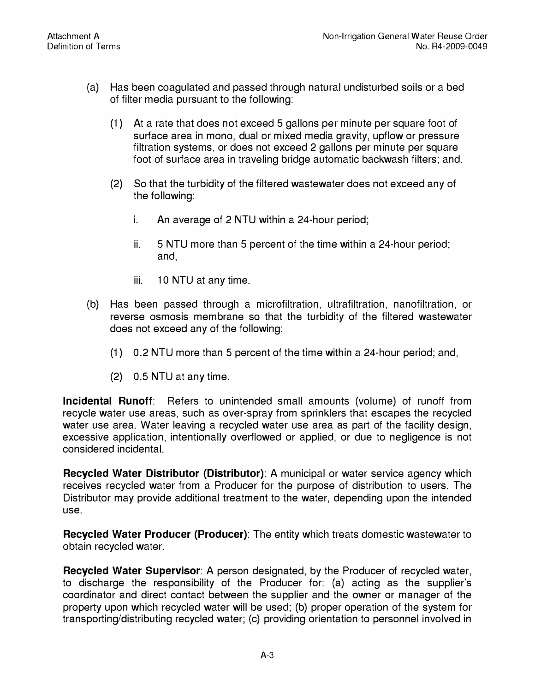- (a) Has been coagulated and passed through natural undisturbed soils or a bed of filter media pursuant to the following:
	- (1) At a rate that does not exceed 5 gallons per minute per square foot of surface area in mono, dual or mixed media gravity, upflow or pressure filtration systems, or does not exceed 2 gallons per minute per square foot of surface area in traveling bridge automatic backwash filters; and,
	- (2) So that the turbidity of the filtered wastewater does not exceed any of the following:
		- i. An average of 2 NTU within a 24-hour period;
		- ii. 5 NTU more than 5 percent of the time within a 24-hour period; and,
		- iii. 10 NTU at any time.
- (b) Has been passed through a microfiltration, ultrafiltration, nanofiltration, or reverse osmosis membrane so that the turbidity of the filtered wastewater does not exceed any of the following:
	- (1) 0.2 NTU more than 5 percent of the time within a 24-hour period; and,
	- (2) 0.5 NTU at any time.

**Incidental Runoff:** Refers to unintended small amounts (volume) of runoff from recycle water use areas, such as over-spray from sprinklers that escapes the recycled water use area. Water leaving a recycled water use area as part of the facility design, excessive application, intentionally overflowed or applied, or due to negligence is not considered incidental.

**Recycled Water Distributor (Distributor):** A municipal or water service agency which receives recycled water from a Producer for the purpose of distribution to users. The Distributor may provide additional treatment to the water, depending upon the intended use.

**Recycled Water Producer (Producer):** The entity which treats domestic wastewater to obtain recycled water.

**Recycled Water Supervisor:** A person designated, by the Producer of recycled water, to discharge the responsibility of the Producer for: (a) acting as the supplier's coordinator and direct contact between the supplier and the owner or manager of the property upon which recycled water will be used; (b) proper operation of the system for transporting/distributing recycled water; (c) providing orientation to personnel involved in